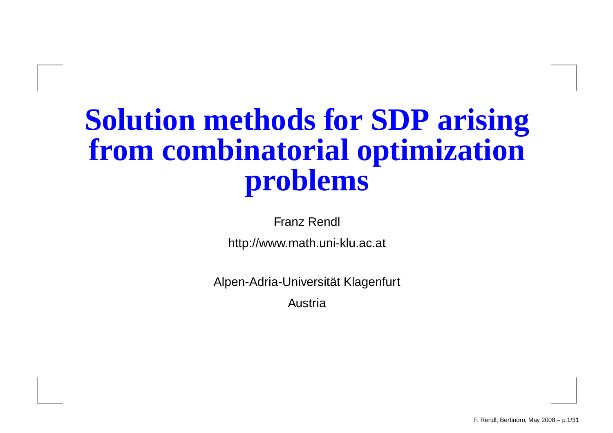### **Solution methods for SDP arisingfrom combinatorial optimizationproblems**

Franz Rendl

http://www.math.uni-klu.ac.at

Alpen-Adria-Universität Klagenfurt

Austria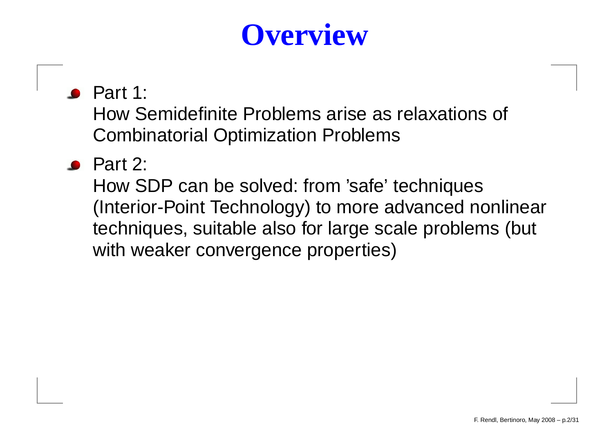# **Overview**

#### $\bullet$  Part 1:

How Semidefinite Problems arise as relaxations of Combinatorial Optimization Problems

Part 2:

How SDP can be solved: from 'safe' techniques (Interior-Point Technology) to more advanced nonlineartechniques, suitable also for large scale problems (but with weaker convergence properties)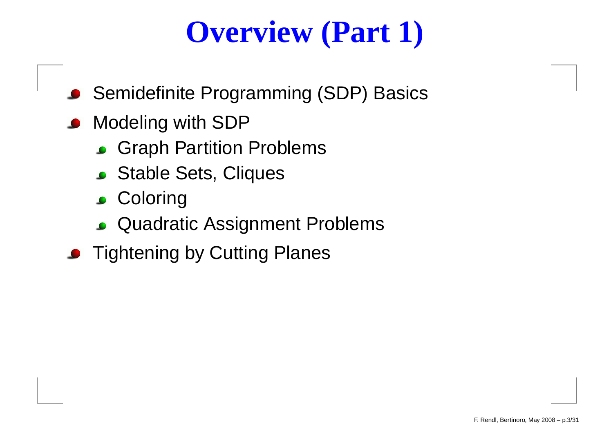# **Overview (Part 1)**

- Semidefinite Programming (SDP) Basics
- **Modeling with SDP** 
	- Graph Partition Problems
	- Stable Sets, Cliques
	- **Coloring**
	- Quadratic Assignment Problems
- **Tightening by Cutting Planes**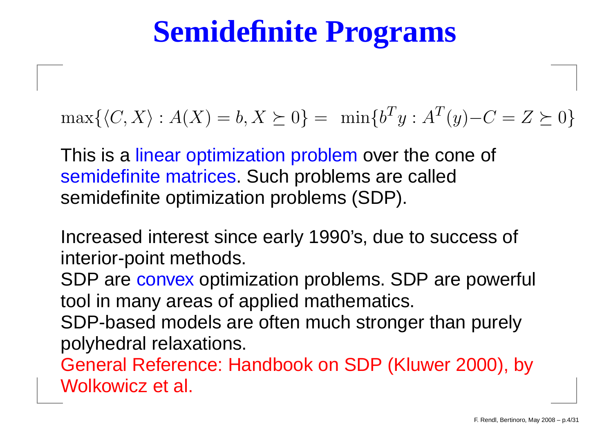### **Semidefinite Programs**

 $\max\{\langle C, X\rangle : A(X) = b, X \succeq 0\} = \min\{b^T\}$  ${}^Ty:A^T$  $\frac{1}{y}$  $-C=Z\succeq0\}$ 

This is a linear optimization problem over the cone of<br>semidefinite matrices. Such problems are called semidefinite matrices. Such problems are calledsemidefinite optimization problems (SDP).

Increased interest since early 1990's, due to success of interior-point methods.

SDP are convex optimization problems. SDP are powerful tool in many areas of applied mathematics.

SDP-based models are often much stronger than purelypolyhedral relaxations.

General Reference: Handbook on SDP (Kluwer 2000), byWolkowicz et al.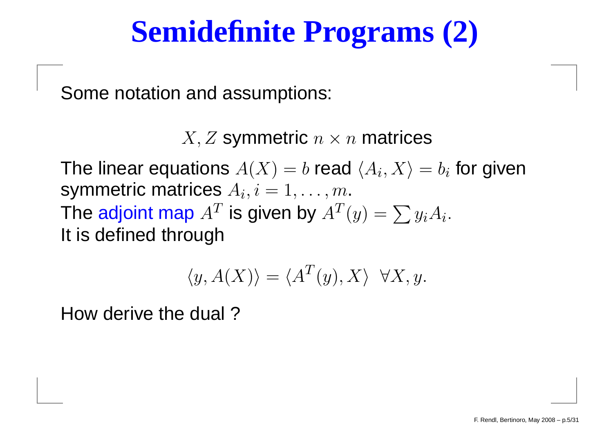### **Semidefinite Programs (2)**

Some notation and assumptions:

 $X, Z$  symmetric  $n \times n$  matrices

The linear equations  $A(X) = b$  read  $\langle A_i, X\rangle$  $\sim$   $\sim$   $\sim$ symmetric matrices  $A_i, i=1,\ldots,m.$  $=b_i$  for given The adjoint map  $A^T$  is given by  $A^T$  It is defined through ${}^{T}(y)=\sum y_{i}A_{i}.$ 

$$
\langle y, A(X) \rangle = \langle A^T(y), X \rangle \ \ \forall X, y.
$$

How derive the dual ?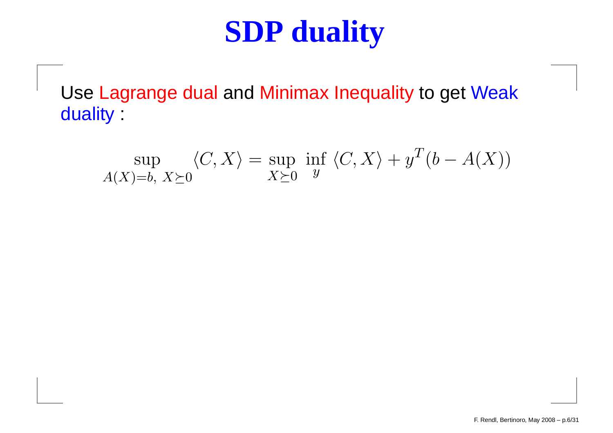### **SDP duality**

Use Lagrange dual and Minimax Inequality to get Weak duality :

$$
\sup_{A(X)=b, X\succeq 0} \langle C, X \rangle = \sup_{X\succeq 0} \inf_{y} \langle C, X \rangle + y^T(b - A(X))
$$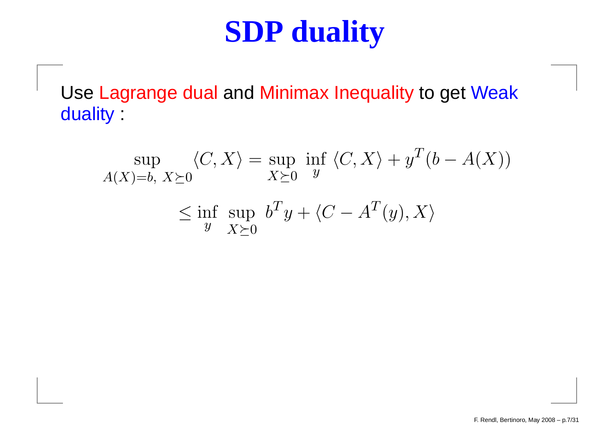### **SDP duality**

Use Lagrange dual and Minimax Inequality to get Weak duality :

$$
\sup_{A(X)=b, X\succeq 0} \langle C, X \rangle = \sup_{X\succeq 0} \inf_{y} \langle C, X \rangle + y^T(b - A(X))
$$
  

$$
\leq \inf_{y} \sup_{X\succeq 0} b^T y + \langle C - A^T(y), X \rangle
$$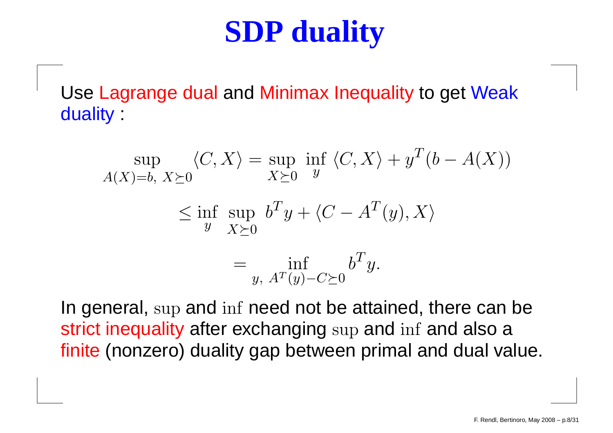### **SDP duality**

Use Lagrange dual and Minimax Inequality to get Weak duality :

$$
\sup_{A(X)=b, X \succeq 0} \langle C, X \rangle = \sup_{X \succeq 0} \inf_{y} \langle C, X \rangle + y^T (b - A(X))
$$
  

$$
\leq \inf_{y} \sup_{X \succeq 0} b^T y + \langle C - A^T (y), X \rangle
$$
  

$$
= \inf_{y, A^T(y) - C \succeq 0} b^T y.
$$

In general, sup and inf need not be attained, there can be strict inequality after exchanging sup and inf and also a finite (nonzero) duality gap between primal and dual value.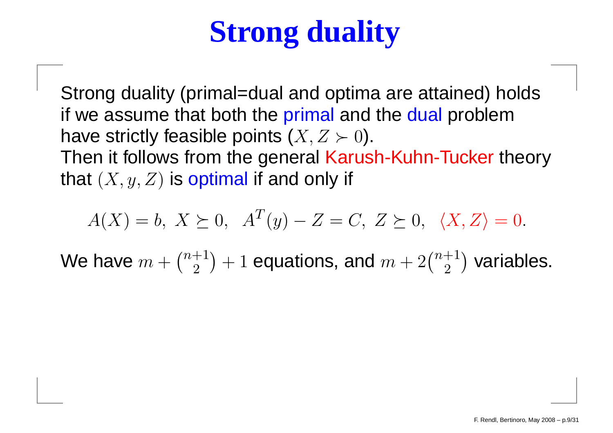# **Strong duality**

Strong duality (primal=dual and optima are attained) holdsif we assume that both the primal and the dual problem have strictly feasible points  $(X,Z\succ 0).$  $\blacksquare$ Then it follows from the general <mark>Karush-Kuhn-Tucker</mark> theory that  $(X, y, Z)$  is optimal if and only if

$$
A(X) = b, X \succeq 0, A^T(y) - Z = C, Z \succeq 0, \langle X, Z \rangle = 0.
$$

We have  $m + \binom{n+1}{2}$  $\binom{+1}{2}+1$  equations, and  $m+2\binom{n+1}{2}$  $_2^{+1})$  variables.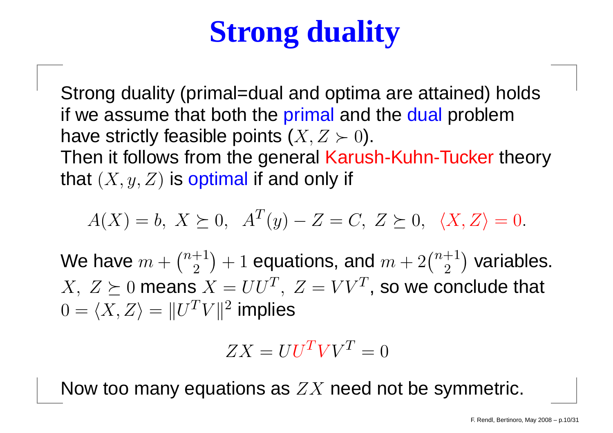# **Strong duality**

Strong duality (primal=dual and optima are attained) holdsif we assume that both the primal and the dual problem have strictly feasible points  $(X,Z\succ 0).$  $\blacksquare$ Then it follows from the general Karush-Kuhn-Tucker theory that  $(X, y, Z)$  is optimal if and only if

$$
A(X) = b, X \succeq 0, A^T(y) - Z = C, Z \succeq 0, \langle X, Z \rangle = 0.
$$

We have  $m + \binom{n+1}{2}$  $X,~Z \succeq 0$  means  $X = U U^T,~Z = V V^T$ , so we conclude that  $\binom{+1}{2}+1$  equations, and  $m+2\binom{n+1}{2}$  $_2^{+1})$  variables.  $0 = \langle X, Z \rangle = \|U^TV\|^2$  implies = $\|U^TV\|^2$  implies

$$
ZX = UU^T VV^T = 0
$$

Now too many equations as  $ZX$  need not be symmetric.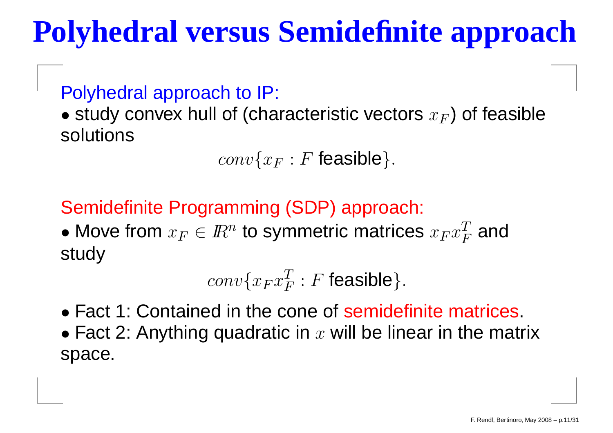# **Polyhedral versus Semidefinite approach**

Polyhedral approach to IP:

 $\bullet$  study convex hull of (characteristic vectors  $x_F$  $_{F})$  of feasible solutions

> $conv\{x_F$  $_F : F$  feasible}.

Semidefinite Programming (SDP) approach:

• Move from  $x_F\in I\!\!R^n$  to symmetric matrices  $x_Fx$  $\, T \,$  $\,F$  $\frac{T}{F}$  and study

> $conv\{x_Fx$  $\, T \,$  $\frac{T}{F}:F$  feasible}.

• Fact 1: Contained in the cone of semidefinite matrices.

 $\bullet$  Fact 2: Anything quadratic in  $x$  will be linear in the matrix space.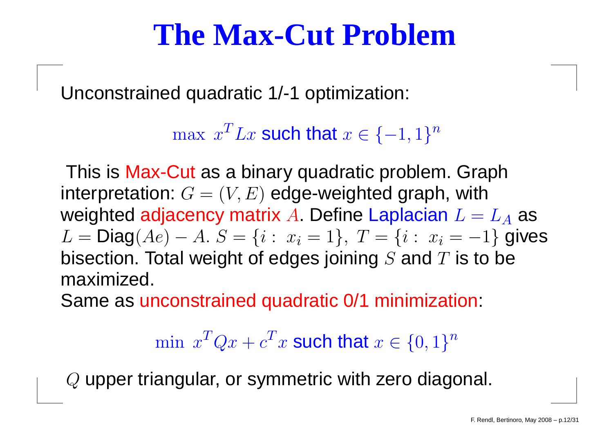### **The Max-Cut Problem**

Unconstrained quadratic 1/-1 optimization:

 $\max x^TLx$  such that  $x \in \{-1,1\}^n$ 

This is Max-Cut as a binary quadratic problem. Graph interpretation:  $G = (V, E)$  edge-weighted graph, with weighted adjacency matrix  $A$ . Define Laplacian  $L=L_A$  as  $L = Diag(Ae) - A$ ,  $S = \{i : x_i = 1\}$ ,  $T = \{i : x_i = -1\}$  $\mathbf{L}$  is a straightform  $\mathbf{T}$  $= \textsf{Diag}(Ae)$ − $A.S$ <br> $\blacksquare$ = $\mathbf{A}$  and  $\mathbf{A}$  and  $\mathbf{A}$  and  $\mathbf{A}$  $\{i: x_i = 1\}, T$ = $\{i: \; x_i=-1\}$  gives bisection. Total weight of edges joining  $S$  and  $T$  is to be maximized.

Same as unconstrained quadratic 0/1 minimization:

min  $x^TQx+c$  $\bm{T}$  $x^T x$  such that  $x \in \{0,1\}^n$ 

 $\it{Q}$  upper triangular, or symmetric with zero diagonal.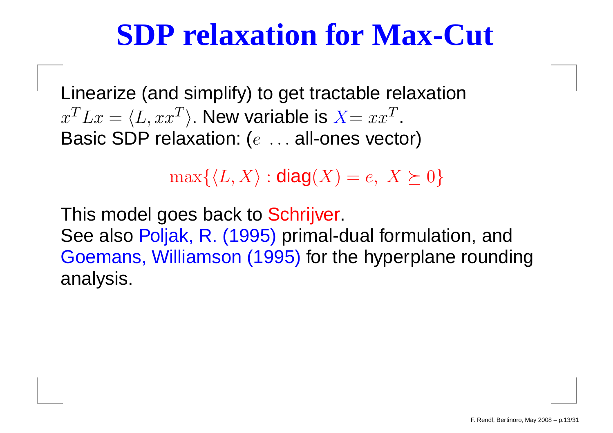### **SDP relaxation for Max-Cut**

Linearize (and simplify) to get tractable relaxation $x^TLx=$ Posic SDD relevation: (e.g. all av  $\langle L, xx^T \rangle$ . New variable is  $X=xx$ <br>20 relevation: (  $\, T \,$ Basic SDP relaxation: ( $e\,\,\ldots$  all-ones vector)

 $\max\{\langle L, X\rangle : \mathsf{diag}(X) = e, \ X \succeq 0\}$ 

This model goes back to Schrijver. See also Poljak, R. (1995) primal-dual formulation, and Goemans, Williamson (1995) for the hyperplane roundinganalysis.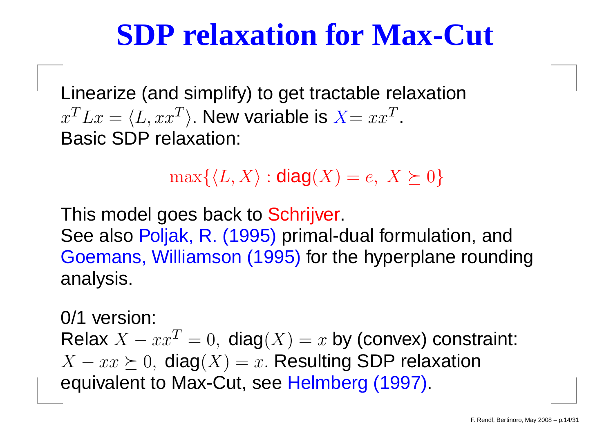### **SDP relaxation for Max-Cut**

Linearize (and simplify) to get tractable relaxation $x^TLx=$  Basic SDP relaxation:  $\langle L, xx^T\rangle$ . New variable is  $X=xx$  $\, T \,$ 

 $\max\{\langle L, X\rangle : \mathsf{diag}(X) = e, \ X \succeq 0\}$ 

This model goes back to Schrijver. See also Poljak, R. (1995) primal-dual formulation, and Goemans, Williamson (1995) for the hyperplane roundinganalysis.

0/1 version: Relax  $X - xx$  $\cos \left( \frac{\pi}{2} \right)$  ding(V)  $\cos$  $T=0, \ \mathsf{diag}(X)=x$  by (convex) constraint:  $X - xx \succeq 0$ , diag $(X) = x$ . Resulting SDP relaxation equivalent to Max-Cut, see Helmberg (1997).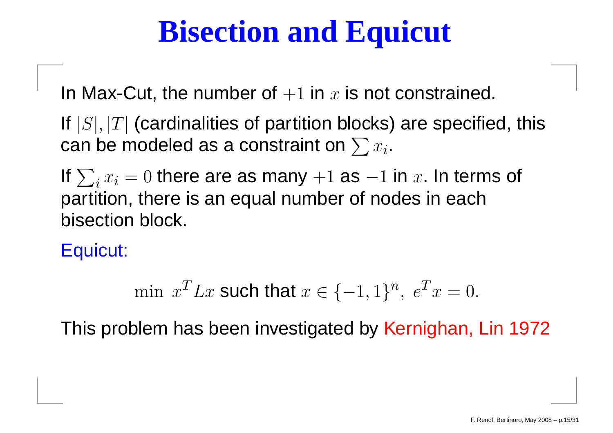## **Bisection and Equicut**

In Max-Cut, the number of  $+1$  in  $x$  is not constrained.

If  $|S|,|T|$  (cardinalities of partition blocks) are specified, this can be modeled as a constraint on  $\sum x_i.$ 

If  $\sum_i x_i = 0$  there are as many  $+1$  as partition, there is an equal number of nodes in each $-1$  in  $x$ . In terms of bisection block.

Equicut:

min  $x^T L x$  such that  $x \in \{-1, 1\}^n$ ,  $e^T$  $\, T \,$  $x = 0.$ 

This problem has been investigated by <mark>Kernighan, Lin 1972</mark>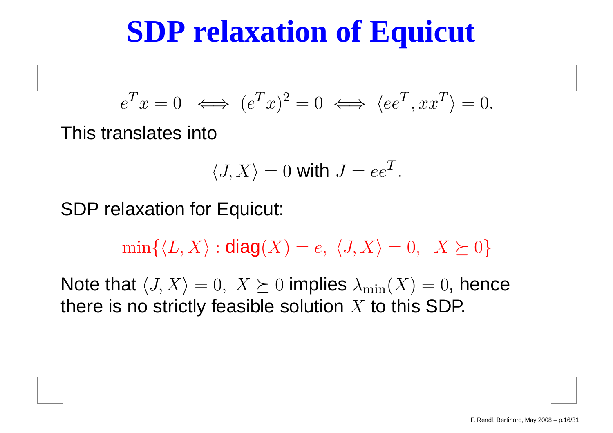### **SDP relaxation of Equicut**

$$
e^T x = 0 \iff (e^T x)^2 = 0 \iff \langle ee^T, xx^T \rangle = 0.
$$

This translates into

$$
\langle J, X \rangle = 0 \text{ with } J = ee^T.
$$

SDP relaxation for Equicut:

 $min\{\langle L, X\rangle : \mathsf{diag}(X) = e, \langle J, X\rangle = 0, \ X \succeq 0\}$ 

Note that  $\langle J, X \rangle = 0, \; X \succeq 0$  implies  $\lambda_{\min}(X) = 0,$  hence there is no strictly feasible solution  $X$  to this SDP.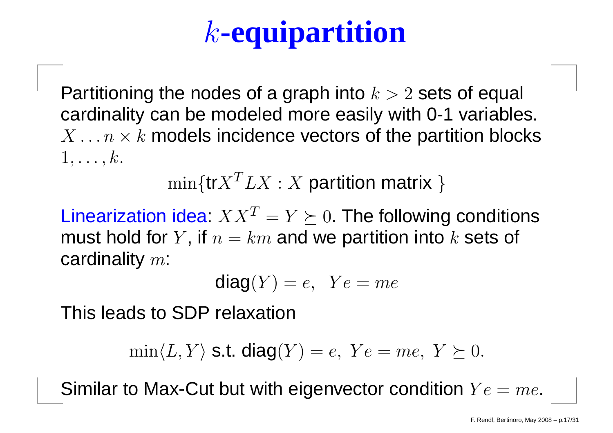# k**-equipartition**

Partitioning the nodes of a graph into  $k > 2$  sets of equal<br>eardinality can be madeled mare assily with 0.4 veriable cardinality can be modeled more easily with 0-1 variables.  $X \dots n \times k$  models incidence vectors of the partition blocks  $1, \ldots, k$ .

 $\min\{ \mathsf{tr}{X}^T L X : X \text{ partition matrix }\}$ 

Linearization idea:  $XX^T = Y \succeq 0$ . The following conditions<br>must hald far V. if we doesn't we partition into Leate of must hold for  $Y$ , if  $n=km$  and we partition into  $k$  sets of<br>cardinality  $\infty$ : cardinality  $m\mathrm{:}$ 

$$
diag(Y) = e, \ \ Ye = me
$$

This leads to SDP relaxation

$$
\min \langle L, Y \rangle \text{ s.t. } \text{diag}(Y) = e, \ Ye = me, \ Y \succeq 0.
$$

Similar to Max-Cut but with eigenvector condition  $Ye=me$ .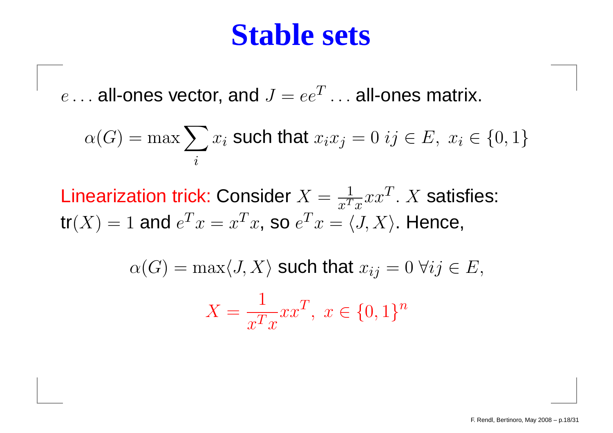#### **Stable sets**

 $e\dots$  all-ones vector, and  $J=ee^T\dots$  all-ones matrix.

$$
\alpha(G) = \max \sum_{i} x_i \text{ such that } x_i x_j = 0 \text{ if } E, \ x_i \in \{0, 1\}
$$

Linearization trick: Consider  $X = \frac{1}{x^T}$  $\frac{1}{x^Tx}xx^T$ .  $X$  satisfies:  $\mathop{\mathsf{tr}}(X) = 1$  and  $e^T x = x^T x$ , so  $e^T x = \langle J, X \rangle$ . Hence,

$$
\alpha(G) = \max \langle J, X \rangle \text{ such that } x_{ij} = 0 \,\forall ij \in E,
$$

$$
X = \frac{1}{x^T x} x x^T, \ x \in \{0, 1\}^n
$$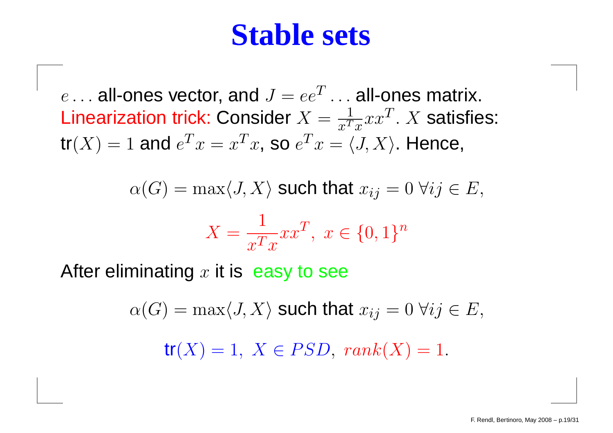#### **Stable sets**

 $e \ldots$  all-ones vector, and  $J = ee^T \ldots$  all-ones matrix.<br>Linearization trials Consider  $X = \frac{1}{T} \sum_{i=1}^{T} x_i$ Linearization trick: Consider  $X = \frac{1}{x^T}$  $\frac{1}{x^Tx}xx^T$ .  $X$  satisfies:  $\mathop{\mathsf{tr}}(X) = 1$  and  $e^T x = x^T x$ , so  $e^T x = \langle J, X \rangle$ . Hence,

$$
\alpha(G) = \max \langle J, X \rangle \text{ such that } x_{ij} = 0 \,\forall ij \in E,
$$
  

$$
X = \frac{1}{x^T x} x x^T, \ x \in \{0, 1\}^n
$$

After eliminating  $x$  it is  $\,$  easy to see

 $\alpha(G) = \max\langle J, X \rangle$  such that  $x_{ij} = 0 \; \forall ij \in E,$ 

 $tr(X) = 1, X \in PSD, rank(X) = 1.$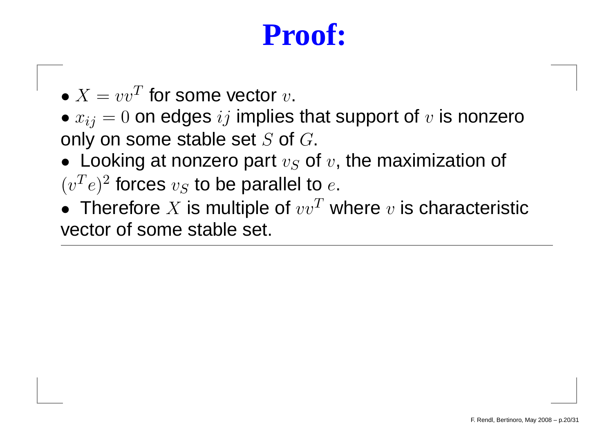### **Proof:**

- $\bullet$   $X = vv^T$  for some vector  $v$ .
- $\bullet$   $x_{ij} = 0$  on edges  $ij$  implies that support of  $v$  is nonzero only on some stable set  $S$  of  $G$ .
- Looking at nonzero part  $v_S$  of  $v$ , the maximization of  $(v^T e)^2$  forces  $v_S$  to be parallel to  $e$ .
- Therefore  $X$  is multiple of  $vv^T$  where  $v$  is characteristic<br>vector of seme stable set vector of some stable set.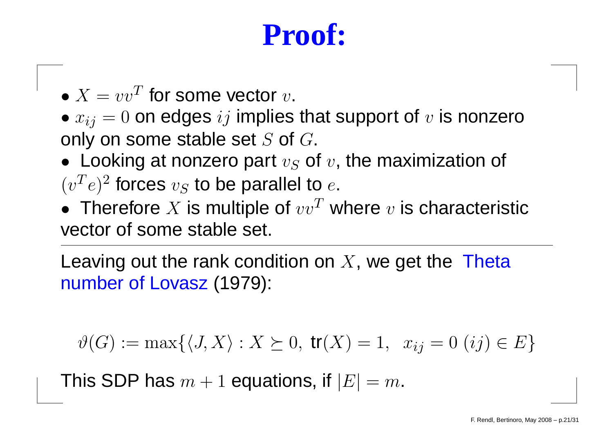### **Proof:**

- $\bullet$   $X = vv^T$  for some vector  $v$ .
- $\bullet$   $x_{ij} = 0$  on edges  $ij$  implies that support of  $v$  is nonzero only on some stable set  $S$  of  $G$ .
- Looking at nonzero part  $v_S$  of  $v$ , the maximization of  $(v^T e)^2$  forces  $v_S$  to be parallel to  $e$ .
- Therefore  $X$  is multiple of  $vv^T$  where  $v$  is characteristic<br>vector of seme stable set vector of some stable set.

Leaving out the rank condition on  $X$ , we get the Theta number of Lovasz (1979):

$$
\vartheta(G) := \max\{\langle J, X \rangle : X \succeq 0, \text{ tr}(X) = 1, x_{ij} = 0 \ (ij) \in E\}
$$

This SDP has  $m+1$  equations, if  $|E|=m.$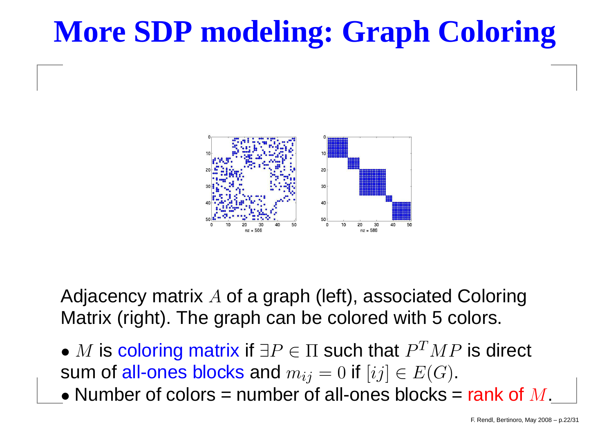## **More SDP modeling: Graph Coloring**



Adjacency matrix A of a graph (left), associated Coloring<br>Metrix (right), The graph can be colored with E colore Matrix (right). The graph can be colored with <sup>5</sup> colors.

- $\bullet$   $M$  is coloring matrix if  $\exists P \in \Pi$  such that  $P^{T}MP$  is direct<br>sum of all-ones blocks and  $m_H=0$  if  $[i,j] \in E(G)$ sum of all-ones blocks and  $m_{ij}=0$  if  $[ij]\in E(G).$
- باوا وووود المركوم وروادا  $\bullet$  Number of colors = number of all-ones blocks =  $\mathsf{rank}\; \mathsf{of}\; M,$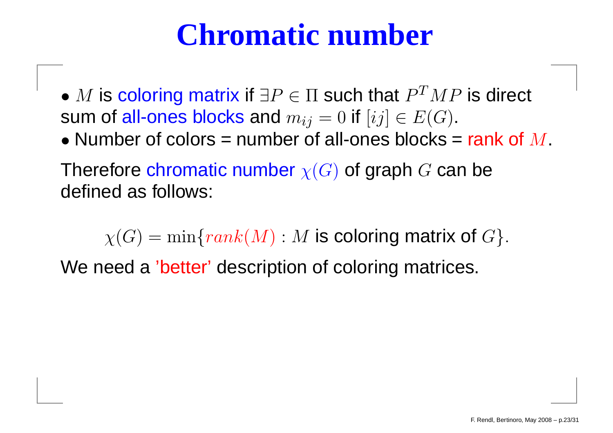### **Chromatic number**

- $\bullet$   $M$  is coloring matrix if  $\exists P\in\Pi$  such that  $P^TMP$  is direct<br>sum of all-ones blocks and  $m\cdot\cdot\cdot=0$  if  $[ij]\in E(G)$ sum of all-ones blocks and  $m_{ij}=0$  if  $[ij]\in E(G).$
- Number of colors = number of all-ones blocks = rank of  $M$ .

Therefore chromatic number  $\chi(G)$  of graph  $G$  can be<br>defined as follows: defined as follows:

 $\chi(G) = \min\{rank(M) : M \text{ is coloring matrix of } G\}.$ We need <sup>a</sup> 'better' description of coloring matrices.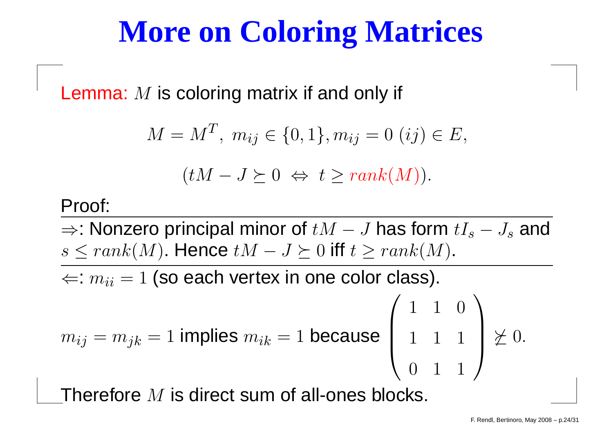### **More on Coloring Matrices**

Lemma:  $M$  is coloring matrix if and only if

$$
M = MT, mij \in \{0, 1\}, mij = 0 (ij) \in E,
$$
  

$$
(tM - J \succeq 0 \Leftrightarrow t \ge rank(M)).
$$

#### Proof:

 $\Rightarrow$ : Nonzero principal minor of  $tM$  $s \leq rank(M).$  Hence  $tM-J \succeq 0$  iff  $-J$  has form  $tI_s$ − $J_s$  and  $- J \succeq 0$  iff  $t \geq rank(M)$ .

 $\Leftarrow$ :  $m_{ii} = 1$  (so each vertex in one color class).

$$
m_{ij} = m_{jk} = 1
$$
 implies  $m_{ik} = 1$  because  $\begin{pmatrix} 1 & 1 & 0 \\ 1 & 1 & 1 \\ 0 & 1 & 1 \end{pmatrix} \not\geq 0$ .

Therefore  $M$  is direct sum of all-ones blocks.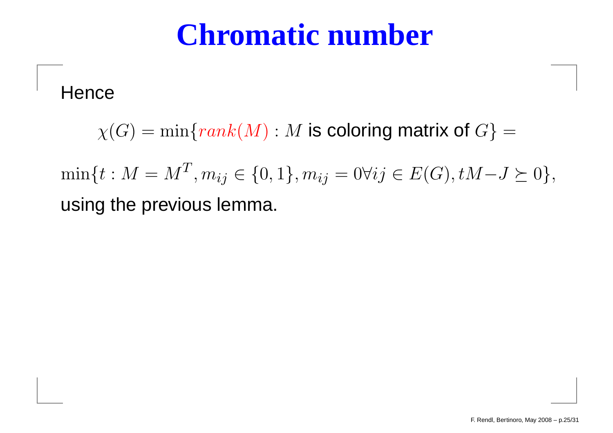### **Chromatic number**

**Hence** 

 $\chi(G) = \min \{rank(M) : M \text{ is coloring matrix of } G \}$ =

 $\min\{t : M=M^T$  using the previous lemma.  $j^T, m_{ij} \in \{0, 1\}, m_{ij} = 0 \forall ij \in E(G), tM$  $-J\succeq0\},$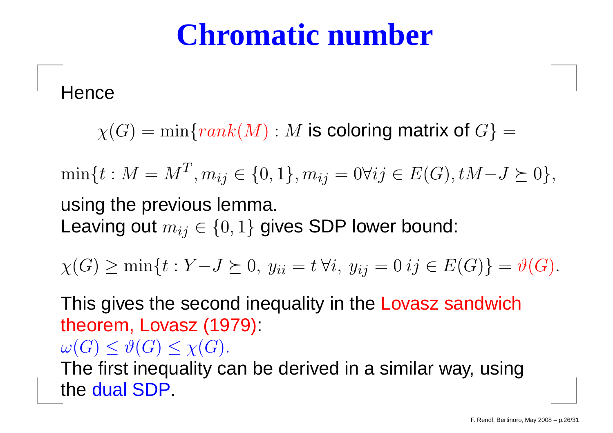### **Chromatic number**

**Hence** 

 $\chi(G) = \min \{rank(M) : M \text{ is coloring matrix of } G \}$ =

 $\min\{t : M=M^T$  $j^T, m_{ij} \in \{0, 1\}, m_{ij} = 0 \forall ij \in E(G), tM$  $-J\succeq0\},$ using the previous lemma. Leaving out  $m_{ij} \in \{0,1\}$  gives SDP lower bound:

 $\chi(G) \ge \min\{t : Y$  $-J \succeq 0, y_{ii} = t \,\forall i, y_{ij} = 0 \,ij \in E(G)$  $=\vartheta(G).$ 

This gives the second inequality in the Lovasz sandwich theorem, Lovasz (1979): $\omega(G)\leq\vartheta(G)\leq\chi(G).$  $\overline{\phantom{a}}$ 

 $\frac{1}{2}$ نلمب The first inequality can be derived in <sup>a</sup> similar way, usingthe dual SDP.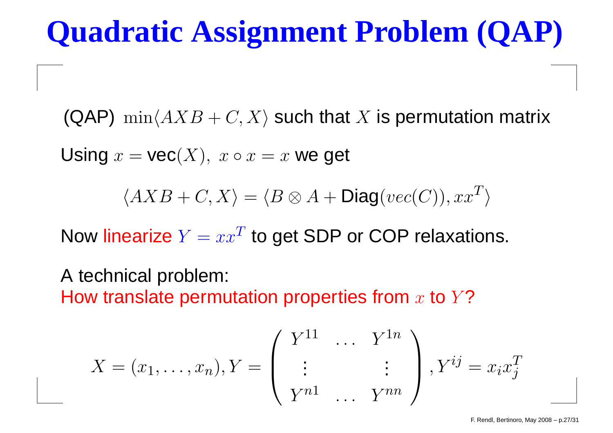### **Quadratic Assignment Problem (QAP)**

(QAP)  $\min \langle AXB+C, X \rangle$  such that  $X$  is permutation matrix

Using  $x = \textsf{vec}(X),\ x \circ x = x$  we get

 $\langle AXB+C, X\rangle$ = $\lang{B} \otimes A + \mathsf{Diag}(vec(C)), xx^T$  $\left| \begin{smallmatrix} I \end{smallmatrix} \right\rangle$ 

Now linearize  $Y = xx$  $^T$  to get SDP or COP relaxations.

A technical problem: How translate permutation properties from  $x$  to  $Y$ ?

$$
X = (x_1, \dots, x_n), Y = \begin{pmatrix} Y^{11} & \dots & Y^{1n} \\ \vdots & & \vdots \\ Y^{n1} & \dots & Y^{nn} \end{pmatrix}, Y^{ij} = x_i x_j^T
$$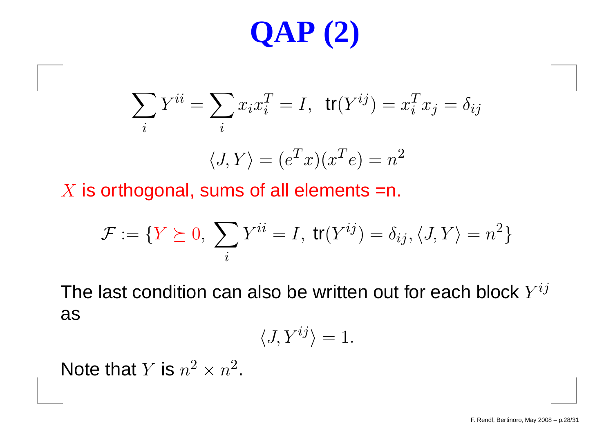# **QAP (2)**

$$
\sum_{i} Y^{ii} = \sum_{i} x_i x_i^T = I, \quad \text{tr}(Y^{ij}) = x_i^T x_j = \delta_{ij}
$$
\n
$$
\langle J, Y \rangle = (e^T x)(x^T e) = n^2
$$

 $X$  is orthogonal, sums of all elements =n.

$$
\mathcal{F} := \{ Y \succeq 0, \sum_{i} Y^{ii} = I, \ \text{tr}(Y^{ij}) = \delta_{ij}, \langle J, Y \rangle = n^2 \}
$$

The last condition can also be written out for each block  $Y^{\boldsymbol{i} j}$ as

$$
\langle J, Y^{ij} \rangle = 1.
$$

Note that  $Y$  is  $n^2 \times n^2$ .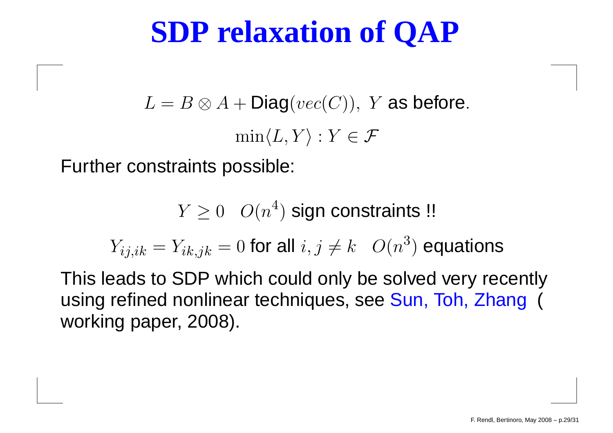### **SDP relaxation of QAP**

 $L=B\otimes A + \mathsf{Diag}(vec(C)),\;Y$  as before.  $\min\langle L, Y \rangle : Y \in \mathcal{F}$ 

Further constraints possible:

 $Y\geq 0$   $O(n)$ 4 $\,^\mathrm{4})$  sign constraints !!

 $Y_{ij,ik} = Y_{ik,jk} = 0$  for all  $i, j \neq k$   $O(n)$ 3 $^{3})$  equations

This leads to SDP which could only be solved very recentlyusing refined nonlinear techniques, see Sun, Toh, Zhang ( working paper, 2008).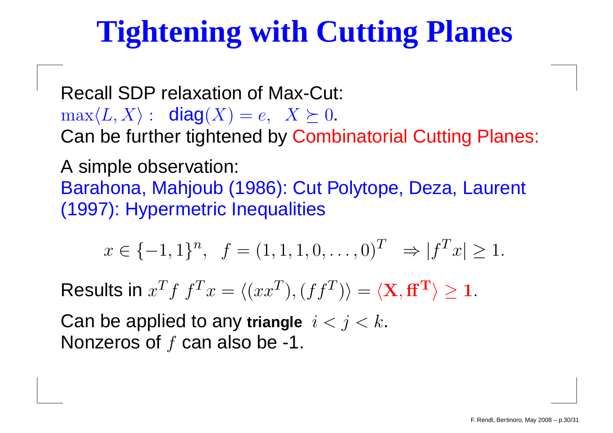# **Tightening with Cutting Planes**

Recall SDP relaxation of Max-Cut:  $\max\langle L, X\rangle: \text{ diag}(X) = e, \ \ X \succeq 0.$ <br>Can be further tightened by Camb n ho furthor tin . . . Can be further tightened by Combinatorial Cutting Planes:

A simple observation: Barahona, Mahjoub (1986): Cut Polytope, Deza, Laurent (1997): Hypermetric Inequalities

$$
x \in \{-1, 1\}^n
$$
,  $f = (1, 1, 1, 0, \dots, 0)^T \Rightarrow |f^T x| \ge 1$ .

Results in  $x$  $Tf\ f^T$  $\overline{\phantom{a}}\hspace{0.1cm}x =$  $\langle (xx^T$  $\left(T\right),\left(ff^{T}\right)$  $^{T})\rangle$ = $\langle \mathbf{X},\mathbf{f}\mathbf{f}^{\mathbf{T}}\rangle\geq 1.$ 

Can be applied to any triangle  $i < j < k$ . Nonzeros of  $f$  can also be -1.